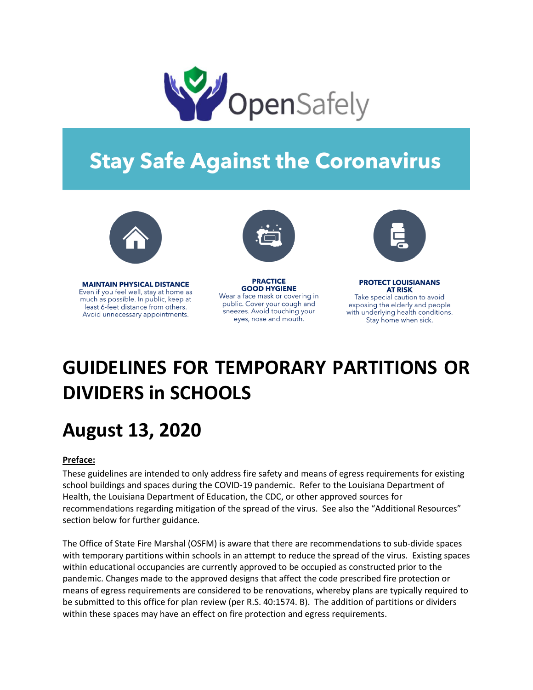

# **Stay Safe Against the Coronavirus**



**MAINTAIN PHYSICAL DISTANCE** Even if you feel well, stay at home as much as possible. In public, keep at least 6-feet distance from others. Avoid unnecessary appointments.



**PRACTICE GOOD HYGIENE** Wear a face mask or covering in public. Cover your cough and sneezes. Avoid touching your eyes, nose and mouth.



**PROTECT LOUISIANANS AT RISK** 

Take special caution to avoid exposing the elderly and people with underlying health conditions. Stay home when sick.

# **GUIDELINES FOR TEMPORARY PARTITIONS OR DIVIDERS in SCHOOLS**

# **August 13, 2020**

## **Preface:**

These guidelines are intended to only address fire safety and means of egress requirements for existing school buildings and spaces during the COVID-19 pandemic. Refer to the Louisiana Department of Health, the Louisiana Department of Education, the CDC, or other approved sources for recommendations regarding mitigation of the spread of the virus. See also the "Additional Resources" section below for further guidance.

The Office of State Fire Marshal (OSFM) is aware that there are recommendations to sub-divide spaces with temporary partitions within schools in an attempt to reduce the spread of the virus. Existing spaces within educational occupancies are currently approved to be occupied as constructed prior to the pandemic. Changes made to the approved designs that affect the code prescribed fire protection or means of egress requirements are considered to be renovations, whereby plans are typically required to be submitted to this office for plan review (per R.S. 40:1574. B). The addition of partitions or dividers within these spaces may have an effect on fire protection and egress requirements.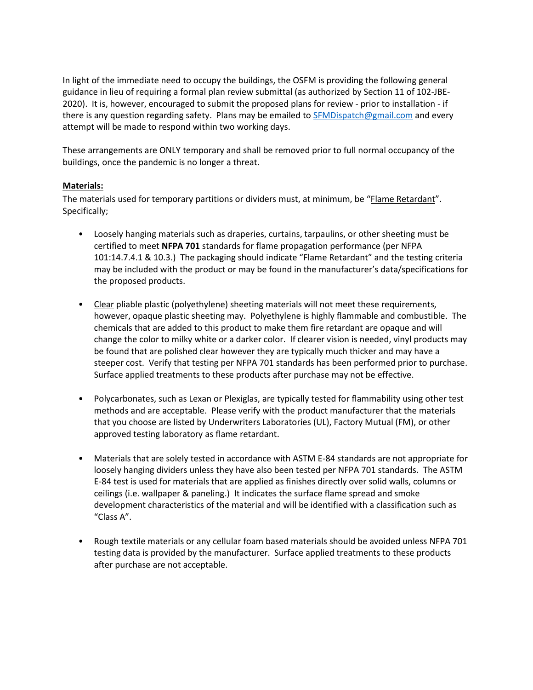In light of the immediate need to occupy the buildings, the OSFM is providing the following general guidance in lieu of requiring a formal plan review submittal (as authorized by Section 11 of 102-JBE-2020). It is, however, encouraged to submit the proposed plans for review - prior to installation - if there is any question regarding safety. Plans may be emailed to [SFMDispatch@gmail.com](mailto:SFMDispatch@gmail.com) and every attempt will be made to respond within two working days.

These arrangements are ONLY temporary and shall be removed prior to full normal occupancy of the buildings, once the pandemic is no longer a threat.

### **Materials:**

The materials used for temporary partitions or dividers must, at minimum, be "Flame Retardant". Specifically;

- Loosely hanging materials such as draperies, curtains, tarpaulins, or other sheeting must be certified to meet **NFPA 701** standards for flame propagation performance (per NFPA 101:14.7.4.1 & 10.3.) The packaging should indicate "Flame Retardant" and the testing criteria may be included with the product or may be found in the manufacturer's data/specifications for the proposed products.
- Clear pliable plastic (polyethylene) sheeting materials will not meet these requirements, however, opaque plastic sheeting may. Polyethylene is highly flammable and combustible. The chemicals that are added to this product to make them fire retardant are opaque and will change the color to milky white or a darker color. If clearer vision is needed, vinyl products may be found that are polished clear however they are typically much thicker and may have a steeper cost. Verify that testing per NFPA 701 standards has been performed prior to purchase. Surface applied treatments to these products after purchase may not be effective.
- Polycarbonates, such as Lexan or Plexiglas, are typically tested for flammability using other test methods and are acceptable. Please verify with the product manufacturer that the materials that you choose are listed by Underwriters Laboratories (UL), Factory Mutual (FM), or other approved testing laboratory as flame retardant.
- Materials that are solely tested in accordance with ASTM E-84 standards are not appropriate for loosely hanging dividers unless they have also been tested per NFPA 701 standards. The ASTM E-84 test is used for materials that are applied as finishes directly over solid walls, columns or ceilings (i.e. wallpaper & paneling.) It indicates the surface flame spread and smoke development characteristics of the material and will be identified with a classification such as "Class A".
- Rough textile materials or any cellular foam based materials should be avoided unless NFPA 701 testing data is provided by the manufacturer. Surface applied treatments to these products after purchase are not acceptable.